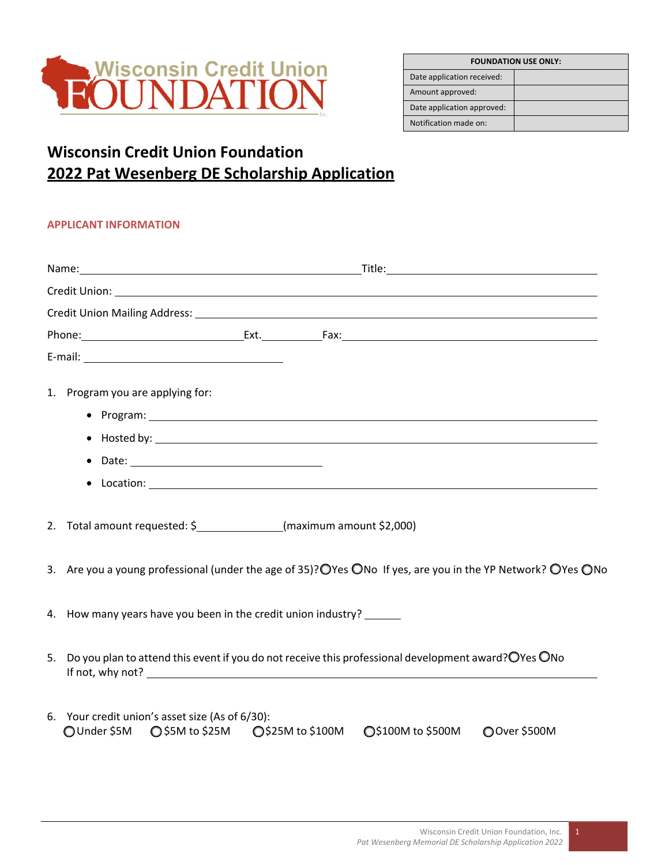

| <b>FOUNDATION USE ONLY:</b> |  |
|-----------------------------|--|
| Date application received:  |  |
| Amount approved:            |  |
| Date application approved:  |  |
| Notification made on:       |  |

## **Wisconsin Credit Union Foundation 2022 Pat Wesenberg DE Scholarship Application**

## **APPLICANT INFORMATION**

|  | 1. Program you are applying for:                                                                                                      |  |
|--|---------------------------------------------------------------------------------------------------------------------------------------|--|
|  | 2. Total amount requested: \$_______________(maximum amount \$2,000)                                                                  |  |
|  | 3. Are you a young professional (under the age of 35)? OYes ONo If yes, are you in the YP Network? OYes ONo                           |  |
|  | 4. How many years have you been in the credit union industry?                                                                         |  |
|  | 5. Do you plan to attend this event if you do not receive this professional development award? OYes ONo                               |  |
|  | 6. Your credit union's asset size (As of 6/30):<br>○ \$5M to \$25M C \$25M to \$100M C \$100M to \$500M C Over \$500M<br>◯ Under \$5M |  |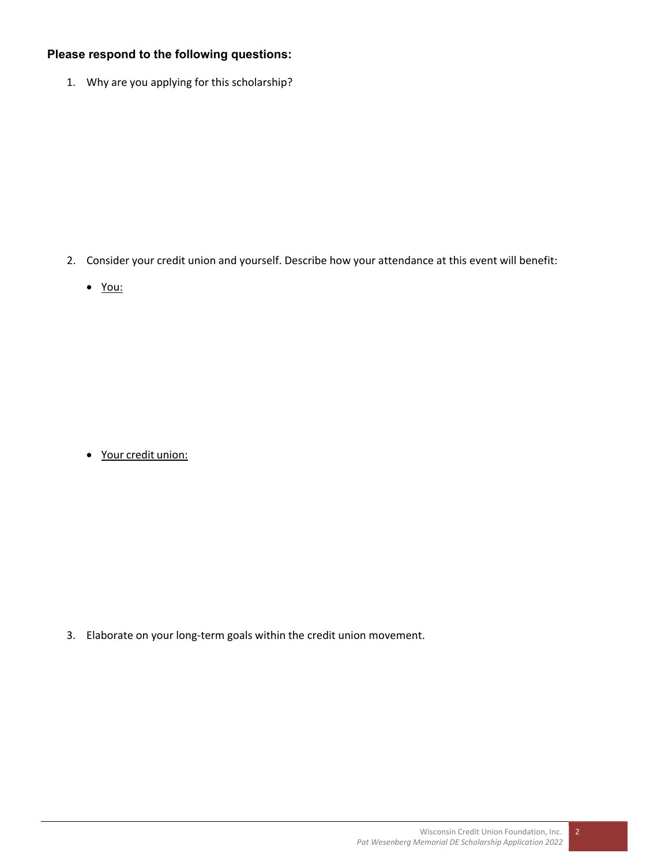## **Please respond to the following questions:**

1. Why are you applying for this scholarship?

- 2. Consider your credit union and yourself. Describe how your attendance at this event will benefit:
	- You:

Your credit union:

3. Elaborate on your long‐term goals within the credit union movement.